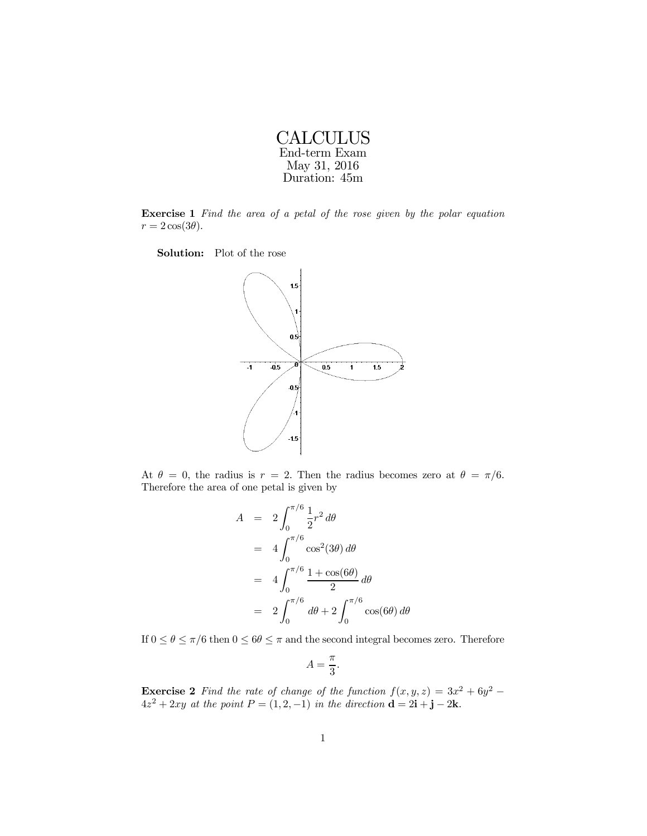| CALCULUS      |
|---------------|
| End-term Exam |
| May 31, 2016  |
| Duration: 45m |

Exercise 1 Find the area of a petal of the rose given by the polar equation  $r = 2 \cos(3\theta)$ .

Solution: Plot of the rose



At  $\theta = 0$ , the radius is  $r = 2$ . Then the radius becomes zero at  $\theta = \pi/6$ . Therefore the area of one petal is given by

$$
A = 2 \int_0^{\pi/6} \frac{1}{2} r^2 d\theta
$$
  
=  $4 \int_0^{\pi/6} \cos^2(3\theta) d\theta$   
=  $4 \int_0^{\pi/6} \frac{1 + \cos(6\theta)}{2} d\theta$   
=  $2 \int_0^{\pi/6} d\theta + 2 \int_0^{\pi/6} \cos(6\theta) d\theta$ 

If  $0 \le \theta \le \pi/6$  then  $0 \le 6\theta \le \pi$  and the second integral becomes zero. Therefore

$$
A=\frac{\pi}{3}.
$$

**Exercise 2** Find the rate of change of the function  $f(x, y, z) = 3x^2 + 6y^2 - 6y^2$  $4z^2 + 2xy$  at the point  $P = (1, 2, -1)$  in the direction  $\mathbf{d} = 2\mathbf{i} + \mathbf{j} - 2\mathbf{k}$ .